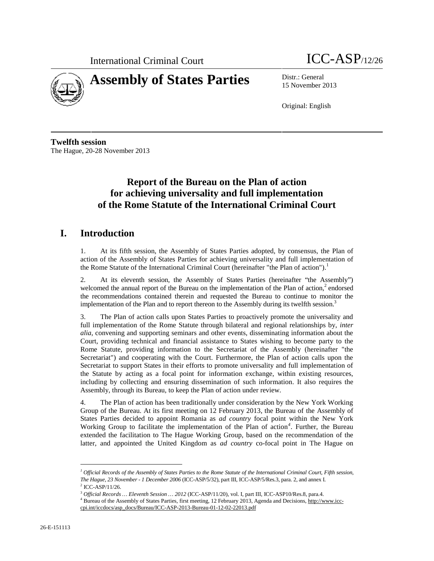



15 November 2013

Original: English

**Twelfth session** The Hague, 20-28 November 2013

# **Report of the Bureau on the Plan of action for achieving universality and full implementation of the Rome Statute of the International Criminal Court**

# **I. Introduction**

1. At its fifth session, the Assembly of States Parties adopted, by consensus, the Plan of action of the Assembly of States Parties for achieving universality and full implementation of the Rome Statute of the International Criminal Court (hereinafter "the Plan of action").<sup>1</sup>

2. At its eleventh session, the Assembly of States Parties (hereinafter "the Assembly") welcomed the annual report of the Bureau on the implementation of the Plan of action,<sup>2</sup> endorsed the recommendations contained therein and requested the Bureau to continue to monitor the implementation of the Plan and to report thereon to the Assembly during its twelfth session.<sup>3</sup>

3. The Plan of action calls upon States Parties to proactively promote the universality and full implementation of the Rome Statute through bilateral and regional relationships by, *inter alia*, convening and supporting seminars and other events, disseminating information about the Court, providing technical and financial assistance to States wishing to become party to the Rome Statute, providing information to the Secretariat of the Assembly (hereinafter "the Secretariat") and cooperating with the Court. Furthermore, the Plan of action calls upon the Secretariat to support States in their efforts to promote universality and full implementation of the Statute by acting as a focal point for information exchange, within existing resources, including by collecting and ensuring dissemination of such information. It also requires the Assembly, through its Bureau, to keep the Plan of action under review.

4. The Plan of action has been traditionally under consideration by the New York Working Group of the Bureau. At its first meeting on 12 February 2013, the Bureau of the Assembly of States Parties decided to appoint Romania as *ad country* focal point within the New York Working Group to facilitate the implementation of the Plan of action*<sup>4</sup>* . Further, the Bureau extended the facilitation to The Hague Working Group, based on the recommendation of the latter, and appointed the United Kingdom as *ad country* co-focal point in The Hague on

*<sup>1</sup> Official Records of the Assembly of States Parties to the Rome Statute of the International Criminal Court, Fifth session, The Hague, 23 November - 1 December 2006* (ICC-ASP/5/32), part III, ICC-ASP/5/Res.3, para. 2, and annex I.  $2$  ICC-ASP/11/26.

<sup>3</sup> *Official Records … Eleventh Session … 2012* (ICC-ASP/11/20), vol. I, part III, ICC-ASP10/Res.8, para.4.

<sup>&</sup>lt;sup>4</sup> Bureau of the Assembly of States Parties, first meeting, 12 February 2013, Agenda and Decisions, http://www.icccpi.int/iccdocs/asp\_docs/Bureau/ICC-ASP-2013-Bureau-01-12-02-22013.pdf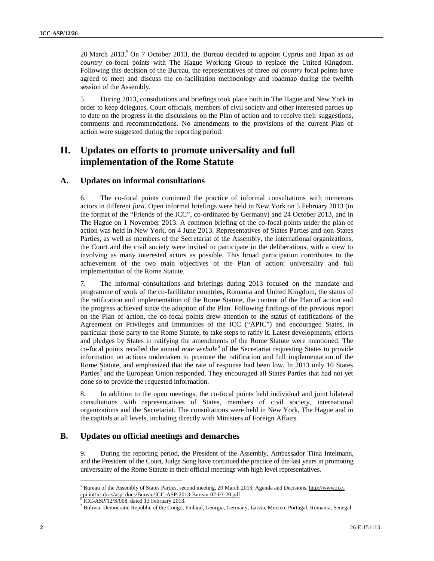20 March 2013.<sup>5</sup> On 7 October 2013, the Bureau decided to appoint Cyprus and Japan as *ad country* co-focal points with The Hague Working Group to replace the United Kingdom. Following this decision of the Bureau, the representatives of three *ad country* focal points have agreed to meet and discuss the co-facilitation methodology and roadmap during the twelfth session of the Assembly.

5. During 2013, consultations and briefings took place both in The Hague and New York in order to keep delegates, Court officials, members of civil society and other interested parties up to date on the progress in the discussions on the Plan of action and to receive their suggestions, comments and recommendations. No amendments to the provisions of the current Plan of action were suggested during the reporting period.

## **II. Updates on efforts to promote universality and full implementation of the Rome Statute**

### **A. Updates on informal consultations**

6. The co-focal points continued the practice of informal consultations with numerous actors in different *fora*. Open informal briefings were held in New York on 5 February 2013 (in the format of the "Friends of the ICC", co-ordinated by Germany) and 24 October 2013, and in The Hague on 1 November 2013. A common briefing of the co-focal points under the plan of action was held in New York, on 4 June 2013. Representatives of States Parties and non-States Parties, as well as members of the Secretariat of the Assembly, the international organizations, the Court and the civil society were invited to participate in the deliberations, with a view to involving as many interested actors as possible. This broad participation contributes to the achievement of the two main objectives of the Plan of action: universality and full implementation of the Rome Statute.

20 March 2012.<sup>2</sup> On 7 October 2013, the Bureau decided to specienc Cytem and Japan is of entropy the state. The Hansel october to the Unit March West Content to the Unit March West Content is the Unit March West Content 7. The informal consultations and briefings during 2013 focused on the mandate and programme of work of the co-facilitator countries, Romania and United Kingdom, the status of the ratification and implementation of the Rome Statute, the content of the Plan of action and the progress achieved since the adoption of the Plan. Following findings of the previous report on the Plan of action, the co-focal points drew attention to the status of ratifications of the Agreement on Privileges and Immunities of the ICC ("APIC") and encouraged States, in particular those party to the Rome Statute, to take steps to ratify it. Latest developments, efforts and pledges by States in ratifying the amendments of the Rome Statute were mentioned. The co-focal points recalled the annual *note verbale*<sup>6</sup> of the Secretariat requesting States to provide information on actions undertaken to promote the ratification and full implementation of the Rome Statute, and emphasized that the rate of response had been low. In 2013 only 10 States Parties<sup>7</sup> and the European Union responded. They encouraged all States Parties that had not yet done so to provide the requested information.

8. In addition to the open meetings, the co-focal points held individual and joint bilateral consultations with representatives of States, members of civil society, international organizations and the Secretariat. The consultations were held in New York, The Hague and in the capitals at all levels, including directly with Ministers of Foreign Affairs.

### **B. Updates on official meetings and demarches**

9. During the reporting period, the President of the Assembly, Ambassador Tiina Intelmann, and the President of the Court, Judge Song have continued the practice of the last years in promoting universality of the Rome Statute in their official meetings with high level representatives.

<sup>&</sup>lt;sup>5</sup> Bureau of the Assembly of States Parties, second meeting, 20 March 2013, Agenda and Decisions, http://www.icccpi.int/iccdocs/asp\_docs/Bureau/ICC-ASP-2013-Bureau-02-03-20.pdf

 $6$  ICC-ASP/12/S/008, dated 13 February 2013.

 $^7$  Bolivia, Democratic Republic of the Congo, Finland, Georgia, Germany, Latvia, Mexico, Portugal, Romania, Senegal.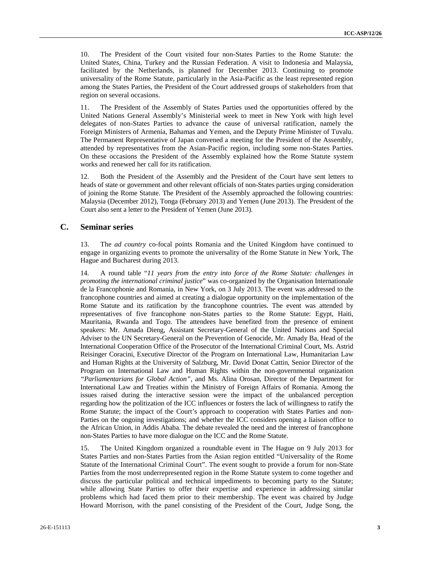10. The President of the Court visited four non-States Parties to the Rome Statute: the United States, China, Turkey and the Russian Federation. A visit to Indonesia and Malaysia, facilitated by the Netherlands, is planned for December 2013. Continuing to promote universality of the Rome Statute, particularly in the Asia-Pacific as the least represented region among the States Parties, the President of the Court addressed groups of stakeholders from that region on several occasions.

11. The President of the Assembly of States Parties used the opportunities offered by the United Nations General Assembly's Ministerial week to meet in New York with high level delegates of non-States Parties to advance the cause of universal ratification, namely the Foreign Ministers of Armenia, Bahamas and Yemen, and the Deputy Prime Minister of Tuvalu. The Permanent Representative of Japan convened a meeting for the President of the Assembly, attended by representatives from the Asian-Pacific region, including some non-States Parties. On these occasions the President of the Assembly explained how the Rome Statute system works and renewed her call for its ratification.

12. Both the President of the Assembly and the President of the Court have sent letters to heads of state or government and other relevant officials of non-States parties urging consideration of joining the Rome Statute. The President of the Assembly approached the following countries: Malaysia (December 2012), Tonga (February 2013) and Yemen (June 2013). The President of the Court also sent a letter to the President of Yemen (June 2013).

#### **C. Seminar series**

13. The *ad country* co-focal points Romania and the United Kingdom have continued to engage in organizing events to promote the universality of the Rome Statute in New York, The Hague and Bucharest during 2013.

10. The President of the Court vising four works are Parties to the Roman Source of the main temperature in the main temperature of the main of the main of the main of the main of the main of the main of the main of the m 14. A round table "*11 years from the entry into force of the Rome Statute: challenges in promoting the international criminal justice*" was co-organized by the Organisation Internationale de la Francophonie and Romania, in New York, on 3 July 2013. The event was addressed to the francophone countries and aimed at creating a dialogue opportunity on the implementation of the Rome Statute and its ratification by the francophone countries. The event was attended by representatives of five francophone non-States parties to the Rome Statute: Egypt, Haiti, Mauritania, Rwanda and Togo. The attendees have benefited from the presence of eminent speakers: Mr. Amada Dieng, Assistant Secretary-General of the United Nations and Special Adviser to the UN Secretary-General on the Prevention of Genocide, Mr. Amady Ba, Head of the International Cooperation Office of the Prosecutor of the International Criminal Court, Ms. Astrid Reisinger Coracini, Executive Director of the Program on International Law, Humanitarian Law and Human Rights at the University of Salzburg, Mr. David Donat Cattin, Senior Director of the Program on International Law and Human Rights within the non-governmental organization *"Parliamentarians for Global Action"*, and Ms. Alina Orosan, Director of the Department for International Law and Treaties within the Ministry of Foreign Affairs of Romania. Among the issues raised during the interactive session were the impact of the unbalanced perception regarding how the politization of the ICC influences or fosters the lack of willingness to ratify the Rome Statute; the impact of the Court's approach to cooperation with States Parties and non- Parties on the ongoing investigations; and whether the ICC considers opening a liaison office to the African Union, in Addis Ababa. The debate revealed the need and the interest of francophone non-States Parties to have more dialogue on the ICC and the Rome Statute.

15. The United Kingdom organized a roundtable event in The Hague on 9 July 2013 for States Parties and non-States Parties from the Asian region entitled "Universality of the Rome Statute of the International Criminal Court". The event sought to provide a forum for non-State Parties from the most underrepresented region in the Rome Statute system to come together and discuss the particular political and technical impediments to becoming party to the Statute; while allowing State Parties to offer their expertise and experience in addressing similar problems which had faced them prior to their membership. The event was chaired by Judge Howard Morrison, with the panel consisting of the President of the Court, Judge Song, the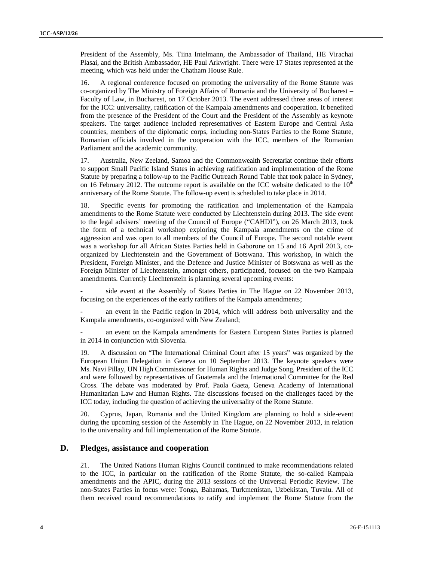President of the Assembly, Ms. Tiina Intelmann, the Ambassador of Thailand, HE Virachai Plasai, and the British Ambassador, HE Paul Arkwright. There were 17 States represented at the meeting, which was held under the Chatham House Rule.

16. A regional conference focused on promoting the universality of the Rome Statute was co-organized by The Ministry of Foreign Affairs of Romania and the University of Bucharest – Faculty of Law, in Bucharest, on 17 October 2013. The event addressed three areas of interest for the ICC: universality, ratification of the Kampala amendments and cooperation. It benefited from the presence of the President of the Court and the President of the Assembly as keynote speakers. The target audience included representatives of Eastern Europe and Central Asia countries, members of the diplomatic corps, including non-States Parties to the Rome Statute, Romanian officials involved in the cooperation with the ICC, members of the Romanian Parliament and the academic community.

17. Australia, New Zeeland, Samoa and the Commonwealth Secretariat continue their efforts to support Small Pacific Island States in achieving ratification and implementation of the Rome Statute by preparing a follow-up to the Pacific Outreach Round Table that took palace in Sydney, on 16 February 2012. The outcome report is available on the ICC website dedicated to the  $10<sup>th</sup>$ anniversary of the Rome Statute. The follow-up event is scheduled to take place in 2014.

**Decision:** of the Assembly, Mr. This Intelnation, the Aubioms's of Thinline, Heroice Press, and the Assembly of Eq. Assembly 10. The Law the Assembly 10. The Law the Assembly 10. The Law the Assembly 10. The Law the Asse 18. Specific events for promoting the ratification and implementation of the Kampala amendments to the Rome Statute were conducted by Liechtenstein during 2013. The side event to the legal advisers' meeting of the Council of Europe ("CAHDI"), on 26 March 2013, took the form of a technical workshop exploring the Kampala amendments on the crime of aggression and was open to all members of the Council of Europe. The second notable event was a workshop for all African States Parties held in Gaborone on 15 and 16 April 2013, co organized by Liechtenstein and the Government of Botswana. This workshop, in which the President, Foreign Minister, and the Defence and Justice Minister of Botswana as well as the Foreign Minister of Liechtenstein, amongst others, participated, focused on the two Kampala amendments. Currently Liechtenstein is planning several upcoming events:

side event at the Assembly of States Parties in The Hague on 22 November 2013, focusing on the experiences of the early ratifiers of the Kampala amendments;

an event in the Pacific region in 2014, which will address both universality and the Kampala amendments, co-organized with New Zealand;

an event on the Kampala amendments for Eastern European States Parties is planned in 2014 in conjunction with Slovenia.

19. A discussion on "The International Criminal Court after 15 years" was organized by the European Union Delegation in Geneva on 10 September 2013. The keynote speakers were Ms. Navi Pillay, UN High Commissioner for Human Rights and Judge Song, President of the ICC and were followed by representatives of Guatemala and the International Committee for the Red Cross. The debate was moderated by Prof. Paola Gaeta, Geneva Academy of International Humanitarian Law and Human Rights. The discussions focused on the challenges faced by the ICC today, including the question of achieving the universality of the Rome Statute.

20. Cyprus, Japan, Romania and the United Kingdom are planning to hold a side-event during the upcoming session of the Assembly in The Hague, on 22 November 2013, in relation to the universality and full implementation of the Rome Statute.

#### **D. Pledges, assistance and cooperation**

21. The United Nations Human Rights Council continued to make recommendations related to the ICC, in particular on the ratification of the Rome Statute, the so-called Kampala amendments and the APIC, during the 2013 sessions of the Universal Periodic Review. The non-States Parties in focus were: Tonga, Bahamas, Turkmenistan, Uzbekistan, Tuvalu. All of them received round recommendations to ratify and implement the Rome Statute from the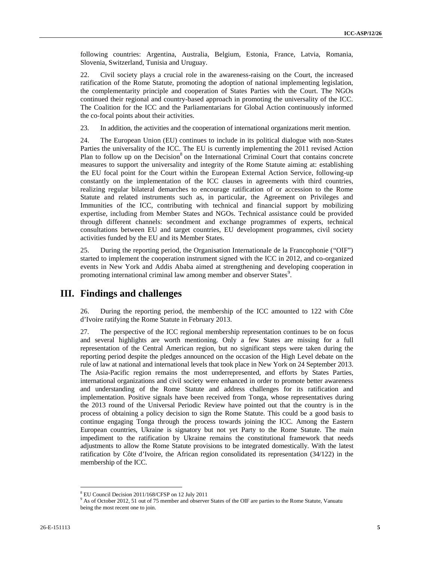following countries: Argentina, Australia, Belgium, Estonia, France, Latvia, Romania, Slovenia, Switzerland, Tunisia and Uruguay.

22. Civil society plays a crucial role in the awareness-raising on the Court, the increased ratification of the Rome Statute, promoting the adoption of national implementing legislation, the complementarity principle and cooperation of States Parties with the Court. The NGOs continued their regional and country-based approach in promoting the universality of the ICC. The Coalition for the ICC and the Parliamentarians for Global Action continuously informed the co-focal points about their activities.

23. In addition, the activities and the cooperation of international organizations merit mention.

24. The European Union (EU) continues to include in its political dialogue with non-States Parties the universality of the ICC. The EU is currently implementing the 2011 revised Action Plan to follow up on the Decision<sup>8</sup> on the International Criminal Court that contains concrete measures to support the universality and integrity of the Rome Statute aiming at: establishing the EU focal point for the Court within the European External Action Service, following-up constantly on the implementation of the ICC clauses in agreements with third countries, realizing regular bilateral demarches to encourage ratification of or accession to the Rome Statute and related instruments such as, in particular, the Agreement on Privileges and Immunities of the ICC, contributing with technical and financial support by mobilizing expertise, including from Member States and NGOs. Technical assistance could be provided through different channels: secondment and exchange programmes of experts, technical consultations between EU and target countries, EU development programmes, civil society activities funded by the EU and its Member States.

25. During the reporting period, the Organisation Internationale de la Francophonie ("OIF") started to implement the cooperation instrument signed with the ICC in 2012, and co-organized events in New York and Addis Ababa aimed at strengthening and developing cooperation in promoting international criminal law among member and observer States<sup>9</sup>.

### **III. Findings and challenges**

26. During the reporting period, the membership of the ICC amounted to 122 with Côte d'Ivoire ratifying the Rome Statute in February 2013.

6 following countier. Appendix, Australia, Delpham, Bosnia, France, Latvis, Euromia, Shown in Such the Core, Its Statssel<br>
25-Form developed plays a considered by the mention-scheme on the Core, Its Statssel<br>
25-Form deve 27. The perspective of the ICC regional membership representation continues to be on focus and several highlights are worth mentioning. Only a few States are missing for a full representation of the Central American region, but no significant steps were taken during the reporting period despite the pledges announced on the occasion of the High Level debate on the rule of law at national and international levels that took place in New York on 24 September 2013. The Asia-Pacific region remains the most underrepresented, and efforts by States Parties, international organizations and civil society were enhanced in order to promote better awareness and understanding of the Rome Statute and address challenges for its ratification and implementation. Positive signals have been received from Tonga, whose representatives during the 2013 round of the Universal Periodic Review have pointed out that the country is in the process of obtaining a policy decision to sign the Rome Statute. This could be a good basis to continue engaging Tonga through the process towards joining the ICC. Among the Eastern European countries, Ukraine is signatory but not yet Party to the Rome Statute. The main impediment to the ratification by Ukraine remains the constitutional framework that needs adjustments to allow the Rome Statute provisions to be integrated domestically. With the latest ratification by Côte d'Ivoire, the African region consolidated its representation (34/122) in the membership of the ICC.

<sup>8</sup> EU Council Decision 2011/168/CFSP on 12 July 2011

<sup>&</sup>lt;sup>9</sup> As of October 2012, 51 out of 75 member and observer States of the OIF are parties to the Rome Statute, Vanuatu being the most recent one to join.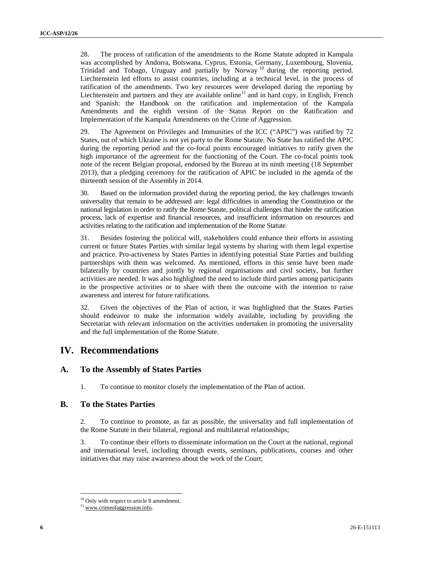**58.** The process of raditivation of the association to the Rome State adopted in Kargola was also<br>the state adopted in the results of the state constrained in the state of the state of the state of the state of the state 28. The process of ratification of the amendments to the Rome Statute adopted in Kampala was accomplished by Andorra, Botswana, Cyprus, Estonia, Germany, Luxembourg, Slovenia, Trinidad and Tobago, Uruguay and partially by Norway<sup>10</sup> during the reporting period. Liechtenstein led efforts to assist countries, including at a technical level, in the process of ratification of the amendments. Two key resources were developed during the reporting by Liechtenstein and partners and they are available online<sup>11</sup> and in hard copy, in English, French and Spanish: the Handbook on the ratification and implementation of the Kampala Amendments and the eighth version of the Status Report on the Ratification and Implementation of the Kampala Amendments on the Crime of Aggression.

29. The Agreement on Privileges and Immunities of the ICC ("APIC") was ratified by 72 States, out of which Ukraine is not yet party to the Rome Statute. No State has ratified the APIC during the reporting period and the co-focal points encouraged initiatives to ratify given the high importance of the agreement for the functioning of the Court. The co-focal points took note of the recent Belgian proposal, endorsed by the Bureau at its ninth meeting (18 September 2013), that a pledging ceremony for the ratification of APIC be included in the agenda of the thirteenth session of the Assembly in 2014.

30. Based on the information provided during the reporting period, the key challenges towards universality that remain to be addressed are: legal difficulties in amending the Constitution or the national legislation in order to ratify the Rome Statute, political challenges that hinder the ratification process, lack of expertise and financial resources, and insufficient information on resources and activities relating to the ratification and implementation of the Rome Statute.

31. Besides fostering the political will, stakeholders could enhance their efforts in assisting current or future States Parties with similar legal systems by sharing with them legal expertise and practice. Pro-activeness by States Parties in identifying potential State Parties and building partnerships with them was welcomed. As mentioned, efforts in this sense have been made bilaterally by countries and jointly by regional organisations and civil society, but further activities are needed. It was also highlighted the need to include third parties among participants in the prospective activities or to share with them the outcome with the intention to raise awareness and interest for future ratifications.

32. Given the objectives of the Plan of action, it was highlighted that the States Parties should endeavor to make the information widely available, including by providing the Secretariat with relevant information on the activities undertaken in promoting the universality and the full implementation of the Rome Statute.

## **IV. Recommendations**

### **A. To the Assembly of States Parties**

1. To continue to monitor closely the implementation of the Plan of action.

### **B. To the States Parties**

2. To continue to promote, as far as possible, the universality and full implementation of the Rome Statute in their bilateral, regional and multilateral relationships;

3. To continue their efforts to disseminate information on the Court at the national, regional and international level, including through events, seminars, publications, courses and other initiatives that may raise awareness about the work of the Court;

<sup>&</sup>lt;sup>10</sup> Only with respect to article 8 amendment.

<sup>&</sup>lt;sup>11</sup> ww<u>w.crimeofaggression.info</u>.